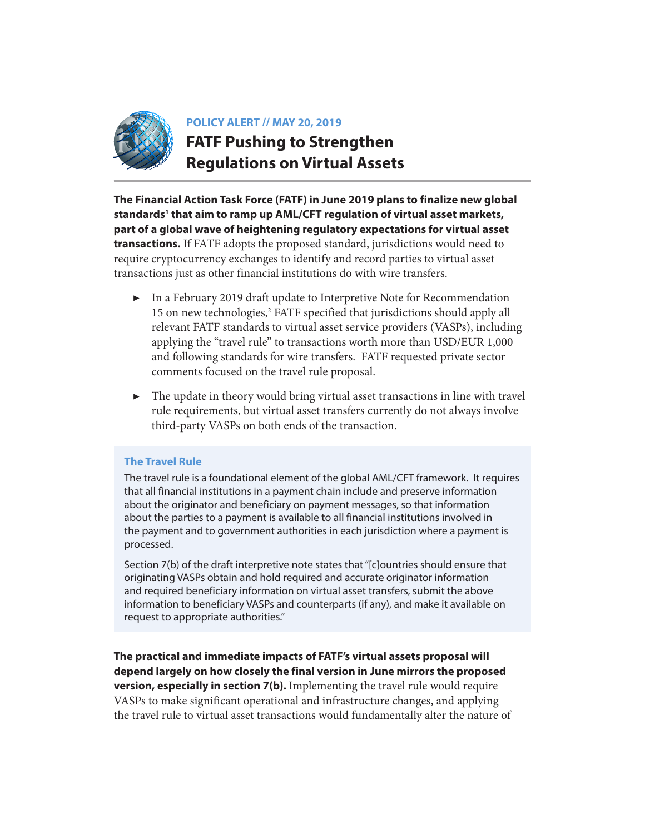

# **POLICY ALERT // MAY 20, 2019 FATF Pushing to Strengthen Regulations on Virtual Assets**

**The Financial Action Task Force (FATF) in June 2019 plans to finalize new global standards[1](#page-7-0) that aim to ramp up AML/CFT regulation of virtual asset markets, part of a global wave of heightening regulatory expectations for virtual asset transactions.** If FATF adopts the proposed standard, jurisdictions would need to require cryptocurrency exchanges to identify and record parties to virtual asset transactions just as other financial institutions do with wire transfers.

- ▶ In a February 2019 draft update to Interpretive Note for Recommendation 15 on new technologies,<sup>2</sup> FATF specified that jurisdictions should apply all relevant FATF standards to virtual asset service providers (VASPs), including applying the "travel rule" to transactions worth more than USD/EUR 1,000 and following standards for wire transfers. FATF requested private sector comments focused on the travel rule proposal.
- $\blacktriangleright$  The update in theory would bring virtual asset transactions in line with travel rule requirements, but virtual asset transfers currently do not always involve third-party VASPs on both ends of the transaction.

#### **The Travel Rule**

The travel rule is a foundational element of the global AML/CFT framework. It requires that all financial institutions in a payment chain include and preserve information about the originator and beneficiary on payment messages, so that information about the parties to a payment is available to all financial institutions involved in the payment and to government authorities in each jurisdiction where a payment is processed.

Section 7(b) of the draft interpretive note states that "[c]ountries should ensure that originating VASPs obtain and hold required and accurate originator information and required beneficiary information on virtual asset transfers, submit the above information to beneficiary VASPs and counterparts (if any), and make it available on request to appropriate authorities."

**The practical and immediate impacts of FATF's virtual assets proposal will depend largely on how closely the final version in June mirrors the proposed version, especially in section 7(b).** Implementing the travel rule would require VASPs to make significant operational and infrastructure changes, and applying the travel rule to virtual asset transactions would fundamentally alter the nature of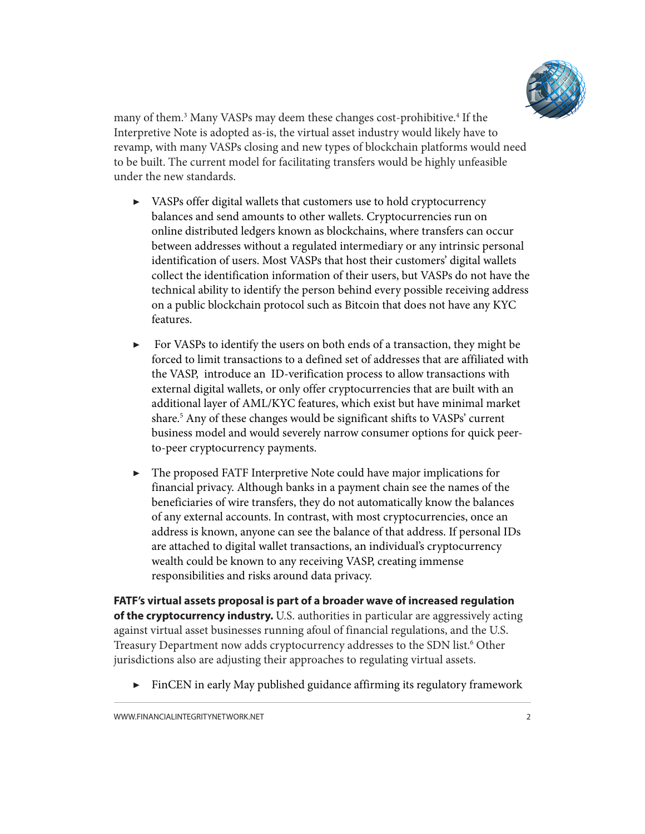

many of them.<sup>[3](#page-7-0)</sup> Many VASPs may deem these changes cost-prohibitive.<sup>4</sup> If the Interpretive Note is adopted as-is, the virtual asset industry would likely have to revamp, with many VASPs closing and new types of blockchain platforms would need to be built. The current model for facilitating transfers would be highly unfeasible under the new standards.

- ▶ VASPs offer digital wallets that customers use to hold cryptocurrency balances and send amounts to other wallets. Cryptocurrencies run on online distributed ledgers known as blockchains, where transfers can occur between addresses without a regulated intermediary or any intrinsic personal identification of users. Most VASPs that host their customers' digital wallets collect the identification information of their users, but VASPs do not have the technical ability to identify the person behind every possible receiving address on a public blockchain protocol such as Bitcoin that does not have any KYC features.
- ▶ For VASPs to identify the users on both ends of a transaction, they might be forced to limit transactions to a defined set of addresses that are affiliated with the VASP, introduce an ID-verification process to allow transactions with external digital wallets, or only offer cryptocurrencies that are built with an additional layer of AML/KYC features, which exist but have minimal market share.[5](#page-7-0) Any of these changes would be significant shifts to VASPs' current business model and would severely narrow consumer options for quick peerto-peer cryptocurrency payments.
- ▶ The proposed FATF Interpretive Note could have major implications for financial privacy. Although banks in a payment chain see the names of the beneficiaries of wire transfers, they do not automatically know the balances of any external accounts. In contrast, with most cryptocurrencies, once an address is known, anyone can see the balance of that address. If personal IDs are attached to digital wallet transactions, an individual's cryptocurrency wealth could be known to any receiving VASP, creating immense responsibilities and risks around data privacy.

**FATF's virtual assets proposal is part of a broader wave of increased regulation of the cryptocurrency industry.** U.S. authorities in particular are aggressively acting against virtual asset businesses running afoul of financial regulations, and the U.S. Treasury Department now adds cryptocurrency addresses to the SDN list.<sup>6</sup> Other jurisdictions also are adjusting their approaches to regulating virtual assets.

▶ FinCEN in early May published guidance affirming its regulatory framework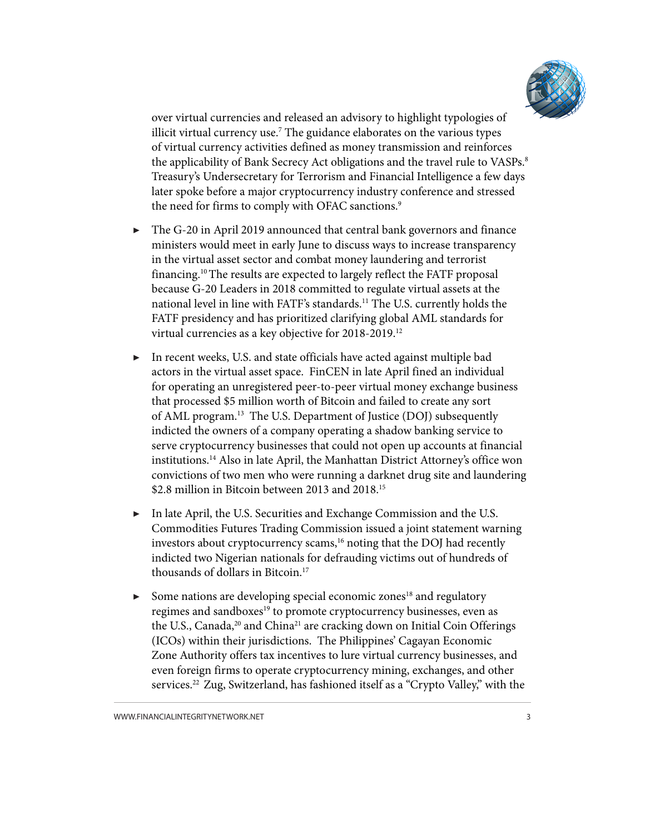

<span id="page-2-0"></span>over virtual currencies and released an advisory to highlight typologies of illicit virtual currency use[.7](#page-7-0) The guidance elaborates on the various types of virtual currency activities defined as money transmission and reinforces the applicability of Bank Secrecy Act obligations and the travel rule to VASPs.<sup>8</sup> Treasury's Undersecretary for Terrorism and Financial Intelligence a few days later spoke before a major cryptocurrency industry conference and stressed the need for firms to comply with OFAC sanctions.<sup>[9](#page-7-0)</sup>

- The G-20 in April 2019 announced that central bank governors and finance ministers would meet in early June to discuss ways to increase transparency in the virtual asset sector and combat money laundering and terrorist financing[.10](#page-7-0)The results are expected to largely reflect the FATF proposal because G-20 Leaders in 2018 committed to regulate virtual assets at the national level in line with FATF's standards.[11](#page-7-0) The U.S. currently holds the FATF presidency and has prioritized clarifying global AML standards for virtual currencies as a key objective for 2018-2019.[12](#page-7-0)
- ▶ In recent weeks, U.S. and state officials have acted against multiple bad actors in the virtual asset space. FinCEN in late April fined an individual for operating an unregistered peer-to-peer virtual money exchange business that processed \$5 million worth of Bitcoin and failed to create any sort of AML program.<sup>13</sup> The U.S. Department of Justice (DOJ) subsequently indicted the owners of a company operating a shadow banking service to serve cryptocurrency businesses that could not open up accounts at financial institutions.[14](#page-7-0) Also in late April, the Manhattan District Attorney's office won convictions of two men who were running a darknet drug site and laundering \$2.8 million in Bitcoin between 2013 and 2018.<sup>[15](#page-7-0)</sup>
- ▶ In late April, the U.S. Securities and Exchange Commission and the U.S. Commodities Futures Trading Commission issued a joint statement warning investors about cryptocurrency scams,<sup>16</sup> noting that the DOJ had recently indicted two Nigerian nationals for defrauding victims out of hundreds of thousands of dollars in Bitcoin.[17](#page-7-0)
- $\triangleright$  Some nations are developing special economic zones<sup>18</sup> and regulatory regimes and sandboxes<sup>19</sup> to promote cryptocurrency businesses, even as the U.S., Canada,<sup>20</sup> and China<sup>[21](#page-8-0)</sup> are cracking down on Initial Coin Offerings (ICOs) within their jurisdictions. The Philippines' Cagayan Economic Zone Authority offers tax incentives to lure virtual currency businesses, and even foreign firms to operate cryptocurrency mining, exchanges, and other services.[22](#page-8-0) Zug, Switzerland, has fashioned itself as a "Crypto Valley," with the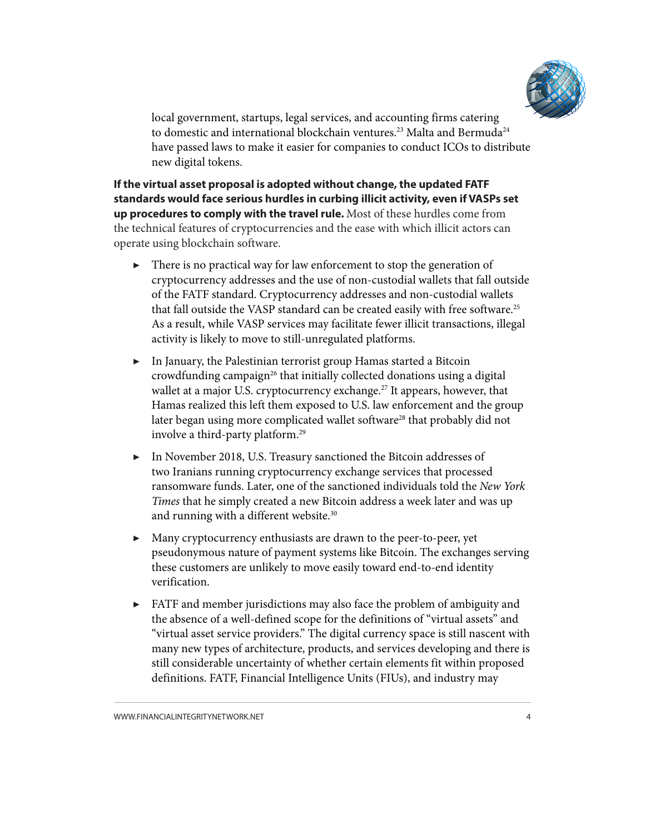

<span id="page-3-0"></span>local government, startups, legal services, and accounting firms catering to domestic and international blockchain ventures.<sup>[23](#page-8-0)</sup> Malta and Bermuda<sup>24</sup> have passed laws to make it easier for companies to conduct ICOs to distribute new digital tokens.

**If the virtual asset proposal is adopted without change, the updated FATF standards would face serious hurdles in curbing illicit activity, even if VASPs set up procedures to comply with the travel rule.** Most of these hurdles come from the technical features of cryptocurrencies and the ease with which illicit actors can operate using blockchain software.

- ▶ There is no practical way for law enforcement to stop the generation of cryptocurrency addresses and the use of non-custodial wallets that fall outside of the FATF standard. Cryptocurrency addresses and non-custodial wallets that fall outside the VASP standard can be created easily with free software.<sup>25</sup> As a result, while VASP services may facilitate fewer illicit transactions, illegal activity is likely to move to still-unregulated platforms.
- ▶ In January, the Palestinian terrorist group Hamas started a Bitcoin crowdfunding campaign<sup>[26](#page-8-0)</sup> that initially collected donations using a digital wallet at a major U.S. cryptocurrency exchange.<sup>[27](#page-8-0)</sup> It appears, however, that Hamas realized this left them exposed to U.S. law enforcement and the group later began using more complicated wallet software<sup>[28](#page-8-0)</sup> that probably did not involve a third-party platform.[29](#page-8-0)
- ▶ In November 2018, U.S. Treasury sanctioned the Bitcoin addresses of two Iranians running cryptocurrency exchange services that processed ransomware funds. Later, one of the sanctioned individuals told the *New York Times* that he simply created a new Bitcoin address a week later and was up and running with a different website.<sup>[30](#page-8-0)</sup>
- ▶ Many cryptocurrency enthusiasts are drawn to the peer-to-peer, yet pseudonymous nature of payment systems like Bitcoin. The exchanges serving these customers are unlikely to move easily toward end-to-end identity verification.
- ▶ FATF and member jurisdictions may also face the problem of ambiguity and the absence of a well-defined scope for the definitions of "virtual assets" and "virtual asset service providers." The digital currency space is still nascent with many new types of architecture, products, and services developing and there is still considerable uncertainty of whether certain elements fit within proposed definitions. FATF, Financial Intelligence Units (FIUs), and industry may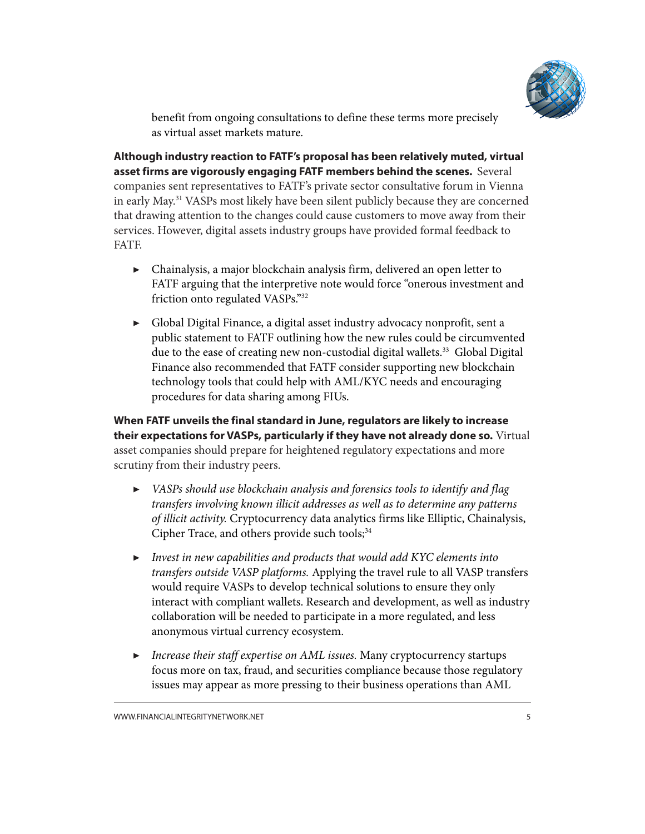

benefit from ongoing consultations to define these terms more precisely as virtual asset markets mature.

<span id="page-4-0"></span>**Although industry reaction to FATF's proposal has been relatively muted, virtual asset firms are vigorously engaging FATF members behind the scenes.** Several companies sent representatives to FATF's private sector consultative forum in Vienna in early May.[31](#page-8-0) VASPs most likely have been silent publicly because they are concerned that drawing attention to the changes could cause customers to move away from their services. However, digital assets industry groups have provided formal feedback to FATF.

- $\triangleright$  Chainalysis, a major blockchain analysis firm, delivered an open letter to FATF arguing that the interpretive note would force "onerous investment and friction onto regulated VASPs.["32](#page-8-0)
- ▶ Global Digital Finance, a digital asset industry advocacy nonprofit, sent a public statement to FATF outlining how the new rules could be circumvented due to the ease of creating new non-custodial digital wallets.<sup>33</sup> Global Digital Finance also recommended that FATF consider supporting new blockchain technology tools that could help with AML/KYC needs and encouraging procedures for data sharing among FIUs.

**When FATF unveils the final standard in June, regulators are likely to increase their expectations for VASPs, particularly if they have not already done so.** Virtual asset companies should prepare for heightened regulatory expectations and more scrutiny from their industry peers.

- ▶ *VASPs should use blockchain analysis and forensics tools to identify and flag transfers involving known illicit addresses as well as to determine any patterns of illicit activity.* Cryptocurrency data analytics firms like Elliptic, Chainalysis, Cipher Trace, and others provide such tools; $34$
- ▶ *Invest in new capabilities and products that would add KYC elements into transfers outside VASP platforms.* Applying the travel rule to all VASP transfers would require VASPs to develop technical solutions to ensure they only interact with compliant wallets. Research and development, as well as industry collaboration will be needed to participate in a more regulated, and less anonymous virtual currency ecosystem.
- ▶ *Increase their staff expertise on AML issues.* Many cryptocurrency startups focus more on tax, fraud, and securities compliance because those regulatory issues may appear as more pressing to their business operations than AML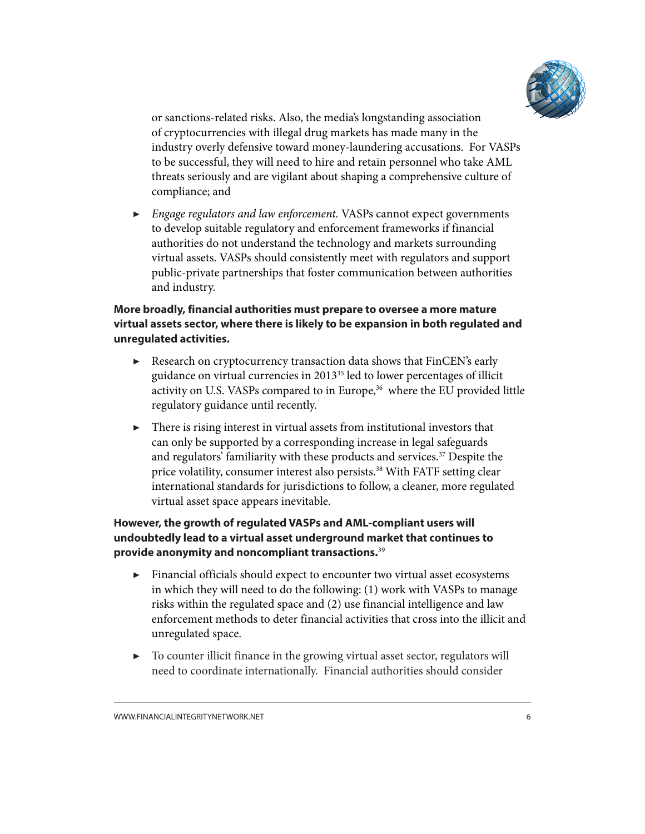

<span id="page-5-0"></span>or sanctions-related risks. Also, the media's longstanding association of cryptocurrencies with illegal drug markets has made many in the industry overly defensive toward money-laundering accusations. For VASPs to be successful, they will need to hire and retain personnel who take AML threats seriously and are vigilant about shaping a comprehensive culture of compliance; and

▶ *Engage regulators and law enforcement.* VASPs cannot expect governments to develop suitable regulatory and enforcement frameworks if financial authorities do not understand the technology and markets surrounding virtual assets. VASPs should consistently meet with regulators and support public-private partnerships that foster communication between authorities and industry.

### **More broadly, financial authorities must prepare to oversee a more mature virtual assets sector, where there is likely to be expansion in both regulated and unregulated activities.**

- ▶ Research on cryptocurrency transaction data shows that FinCEN's early guidance on virtual currencies in 201[335](#page-8-0) led to lower percentages of illicit activity on U.S. VASPs compared to in Europe,<sup>[36](#page-8-0)</sup> where the EU provided little regulatory guidance until recently.
- ▶ There is rising interest in virtual assets from institutional investors that can only be supported by a corresponding increase in legal safeguards and regulators' familiarity with these products and services.<sup>[37](#page-8-0)</sup> Despite the price volatility, consumer interest also persists.<sup>[38](#page-8-0)</sup> With FATF setting clear international standards for jurisdictions to follow, a cleaner, more regulated virtual asset space appears inevitable.

## **However, the growth of regulated VASPs and AML-compliant users will undoubtedly lead to a virtual asset underground market that continues to provide anonymity and noncompliant transactions.**[39](#page-8-0)

- ▶ Financial officials should expect to encounter two virtual asset ecosystems in which they will need to do the following: (1) work with VASPs to manage risks within the regulated space and (2) use financial intelligence and law enforcement methods to deter financial activities that cross into the illicit and unregulated space.
- ▶ To counter illicit finance in the growing virtual asset sector, regulators will need to coordinate internationally. Financial authorities should consider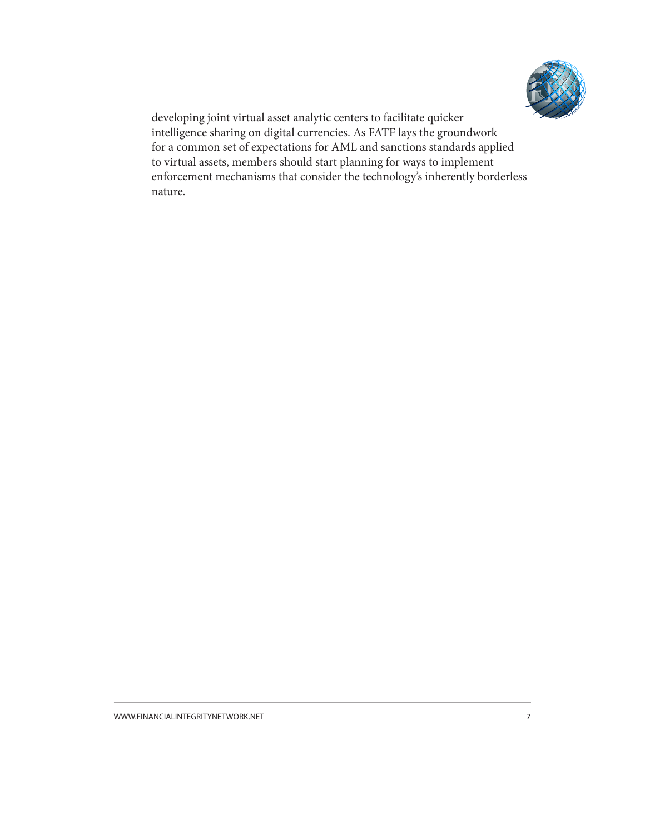

developing joint virtual asset analytic centers to facilitate quicker intelligence sharing on digital currencies. As FATF lays the groundwork for a common set of expectations for AML and sanctions standards applied to virtual assets, members should start planning for ways to implement enforcement mechanisms that consider the technology's inherently borderless nature.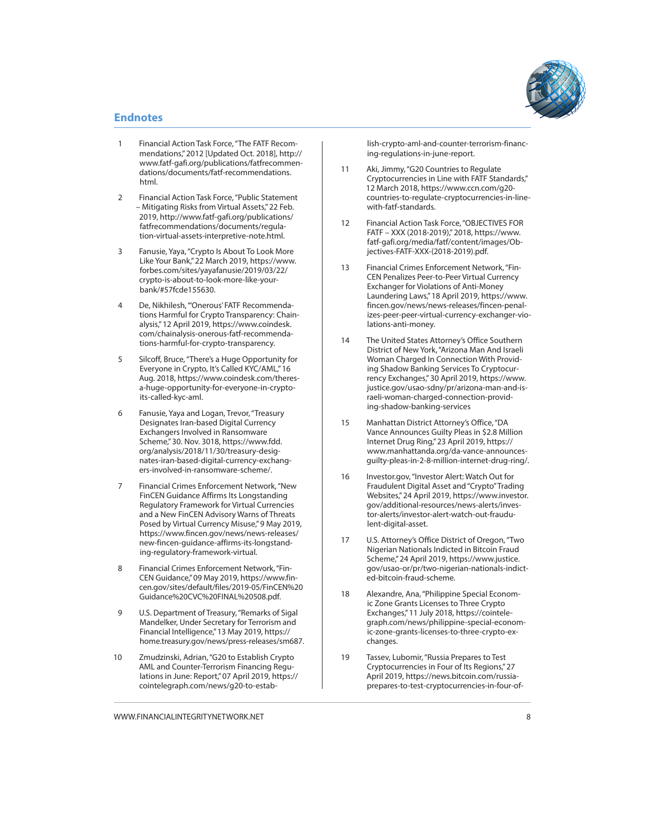

#### <span id="page-7-0"></span>**Endnotes**

- 1 Financial Action Task Force, "The FATF Recommendations," 2012 [Updated Oct. 2018], [http://](http://www.fatf-gafi.org/publications/fatfrecommendations/documents/fatf-recommendations.html) [www.fatf-gafi.org/publications/fatfrecommen](http://www.fatf-gafi.org/publications/fatfrecommendations/documents/fatf-recommendations.html)[dations/documents/fatf-recommendations.](http://www.fatf-gafi.org/publications/fatfrecommendations/documents/fatf-recommendations.html) [html](http://www.fatf-gafi.org/publications/fatfrecommendations/documents/fatf-recommendations.html).
- 2 Financial Action Task Force, "Public Statement – Mitigating Risks from Virtual Assets," 22 Feb. 2019, [http://www.fatf-gafi.org/publications/](http://www.fatf-gafi.org/publications/fatfrecommendations/documents/regulation-virtual-assets-interpretive-note.html) [fatfrecommendations/documents/regula](http://www.fatf-gafi.org/publications/fatfrecommendations/documents/regulation-virtual-assets-interpretive-note.html)[tion-virtual-assets-interpretive-note.html.](http://www.fatf-gafi.org/publications/fatfrecommendations/documents/regulation-virtual-assets-interpretive-note.html)
- 3 Fanusie, Yaya, "Crypto Is About To Look More Like Your Bank," 22 March 2019, https://www. forbes.com/sites/yayafanusie/2019/03/22/ crypto-is-about-to-look-more-like-yourbank/#57fcde155630.
- 4 De, Nikhilesh, "'Onerous' FATF Recommendations Harmful for Crypto Transparency: Chainalysis," 12 April 2019, [https://www.coindesk.](https://www.coindesk.com/chainalysis-onerous-fatf-recommendations-harmful-for-crypto-transparency) [com/chainalysis-onerous-fatf-recommenda](https://www.coindesk.com/chainalysis-onerous-fatf-recommendations-harmful-for-crypto-transparency)[tions-harmful-for-crypto-transparency.](https://www.coindesk.com/chainalysis-onerous-fatf-recommendations-harmful-for-crypto-transparency)
- 5 Silcoff, Bruce, "There's a Huge Opportunity for Everyone in Crypto, It's Called KYC/AML," 16 Aug. 2018, [https://www.coindesk.com/theres](https://www.coindesk.com/theres-a-huge-opportunity-for-everyone-in-crypto-its-called-kyc-aml)[a-huge-opportunity-for-everyone-in-crypto](https://www.coindesk.com/theres-a-huge-opportunity-for-everyone-in-crypto-its-called-kyc-aml)[its-called-kyc-aml](https://www.coindesk.com/theres-a-huge-opportunity-for-everyone-in-crypto-its-called-kyc-aml).
- 6 Fanusie, Yaya and Logan, Trevor, "Treasury Designates Iran-based Digital Currency Exchangers Involved in Ransomware Scheme," 30. Nov. 3018, [https://www.fdd.](https://www.fdd.org/analysis/2018/11/30/treasury-designates-iran-based-digital-currency-exchangers-involved-in-ransomware-scheme/) [org/analysis/2018/11/30/treasury-desig](https://www.fdd.org/analysis/2018/11/30/treasury-designates-iran-based-digital-currency-exchangers-involved-in-ransomware-scheme/)[nates-iran-based-digital-currency-exchang](https://www.fdd.org/analysis/2018/11/30/treasury-designates-iran-based-digital-currency-exchangers-involved-in-ransomware-scheme/)[ers-involved-in-ransomware-scheme/.](https://www.fdd.org/analysis/2018/11/30/treasury-designates-iran-based-digital-currency-exchangers-involved-in-ransomware-scheme/)
- 7 Financial Crimes Enforcement Network, "New FinCEN Guidance Affirms Its Longstanding Regulatory Framework for Virtual Currencies and a New FinCEN Advisory Warns of Threats Posed by Virtual Currency Misuse," 9 May 2019, [https://www.fincen.gov/news/news-releases/](https://www.fincen.gov/news/news-releases/new-fincen-guidance-affirms-its-longstanding-regulatory-framework-virtual) [new-fincen-guidance-affirms-its-longstand](https://www.fincen.gov/news/news-releases/new-fincen-guidance-affirms-its-longstanding-regulatory-framework-virtual)[ing-regulatory-framework-virtual.](https://www.fincen.gov/news/news-releases/new-fincen-guidance-affirms-its-longstanding-regulatory-framework-virtual)
- 8 Financial Crimes Enforcement Network, "Fin-CEN Guidance," 09 May 2019, [https://www.fin](https://www.fincen.gov/sites/default/files/2019-05/FinCEN%20Guidance%20CVC%20FINAL%20508.pdf)[cen.gov/sites/default/files/2019-05/FinCEN%20](https://www.fincen.gov/sites/default/files/2019-05/FinCEN%20Guidance%20CVC%20FINAL%20508.pdf) [Guidance%20CVC%20FINAL%20508.pdf](https://www.fincen.gov/sites/default/files/2019-05/FinCEN%20Guidance%20CVC%20FINAL%20508.pdf).
- 9 U.S. Department of Treasury, "Remarks of Sigal Mandelker, Under Secretary for Terrorism and Financial Intelligence," 13 May 2019, [https://](https://home.treasury.gov/news/press-releases/sm687) [home.treasury.gov/news/press-releases/sm687](https://home.treasury.gov/news/press-releases/sm687).
- [10](#page-2-0) Zmudzinski, Adrian, "G20 to Establish Crypto AML and Counter-Terrorism Financing Regulations in June: Report," 07 April 2019, [https://](https://cointelegraph.com/news/g20-to-establish-crypto-aml-and-counter-terrorism-financing-regulations-in-june-report) [cointelegraph.com/news/g20-to-estab-](https://cointelegraph.com/news/g20-to-establish-crypto-aml-and-counter-terrorism-financing-regulations-in-june-report)

[lish-crypto-aml-and-counter-terrorism-financ](https://cointelegraph.com/news/g20-to-establish-crypto-aml-and-counter-terrorism-financing-regulations-in-june-report)[ing-regulations-in-june-report](https://cointelegraph.com/news/g20-to-establish-crypto-aml-and-counter-terrorism-financing-regulations-in-june-report).

- [11](#page-2-0) Aki, Jimmy, "G20 Countries to Regulate Cryptocurrencies in Line with FATF Standards," 12 March 2018, [https://www.ccn.com/g20](https://www.ccn.com/g20-countries-to-regulate-cryptocurrencies-in-line-with-fatf-standards) [countries-to-regulate-cryptocurrencies-in-line](https://www.ccn.com/g20-countries-to-regulate-cryptocurrencies-in-line-with-fatf-standards)[with-fatf-standards](https://www.ccn.com/g20-countries-to-regulate-cryptocurrencies-in-line-with-fatf-standards).
- [12](#page-2-0) Financial Action Task Force, "OBJECTIVES FOR FATF – XXX (2018-2019)," 2018, [https://www.](https://www.fatf-gafi.org/media/fatf/content/images/Objectives-FATF-XXX-(2018-2019).pdf) [fatf-gafi.org/media/fatf/content/images/Ob](https://www.fatf-gafi.org/media/fatf/content/images/Objectives-FATF-XXX-(2018-2019).pdf)[jectives-FATF-XXX-\(2018-2019\).pdf](https://www.fatf-gafi.org/media/fatf/content/images/Objectives-FATF-XXX-(2018-2019).pdf).
- [13](#page-2-0) Financial Crimes Enforcement Network, "Fin-CEN Penalizes Peer-to-Peer Virtual Currency Exchanger for Violations of Anti-Money Laundering Laws," 18 April 2019, [https://www.](https://www.fincen.gov/news/news-releases/fincen-penalizes-peer-peer-virtual-currency-exchanger-violations-anti-money) [fincen.gov/news/news-releases/fincen-penal](https://www.fincen.gov/news/news-releases/fincen-penalizes-peer-peer-virtual-currency-exchanger-violations-anti-money)[izes-peer-peer-virtual-currency-exchanger-vio](https://www.fincen.gov/news/news-releases/fincen-penalizes-peer-peer-virtual-currency-exchanger-violations-anti-money)[lations-anti-money.](https://www.fincen.gov/news/news-releases/fincen-penalizes-peer-peer-virtual-currency-exchanger-violations-anti-money)
- [14](#page-2-0) The United States Attorney's Office Southern District of New York, "Arizona Man And Israeli Woman Charged In Connection With Providing Shadow Banking Services To Cryptocurrency Exchanges," 30 April 2019, [https://www.](https://www.justice.gov/usao-sdny/pr/arizona-man-and-israeli-woman-charged-connection-providing-shadow-banking-services) [justice.gov/usao-sdny/pr/arizona-man-and-is](https://www.justice.gov/usao-sdny/pr/arizona-man-and-israeli-woman-charged-connection-providing-shadow-banking-services)[raeli-woman-charged-connection-provid](https://www.justice.gov/usao-sdny/pr/arizona-man-and-israeli-woman-charged-connection-providing-shadow-banking-services)[ing-shadow-banking-services](https://www.justice.gov/usao-sdny/pr/arizona-man-and-israeli-woman-charged-connection-providing-shadow-banking-services)
- [15](#page-2-0) Manhattan District Attorney's Office, "DA Vance Announces Guilty Pleas in \$2.8 Million Internet Drug Ring," 23 April 2019, [https://](https://www.manhattanda.org/da-vance-announces-guilty-pleas-in-2-8-million-internet-drug-ring/) [www.manhattanda.org/da-vance-announces](https://www.manhattanda.org/da-vance-announces-guilty-pleas-in-2-8-million-internet-drug-ring/)[guilty-pleas-in-2-8-million-internet-drug-ring/.](https://www.manhattanda.org/da-vance-announces-guilty-pleas-in-2-8-million-internet-drug-ring/)
- [16](#page-2-0) Investor.gov, "Investor Alert: Watch Out for Fraudulent Digital Asset and "Crypto" Trading Websites," 24 April 2019, [https://www.investor.](https://www.investor.gov/additional-resources/news-alerts/investor-alerts/investor-alert-watch-out-fraudulent-digital-asset) [gov/additional-resources/news-alerts/inves](https://www.investor.gov/additional-resources/news-alerts/investor-alerts/investor-alert-watch-out-fraudulent-digital-asset)[tor-alerts/investor-alert-watch-out-fraudu](https://www.investor.gov/additional-resources/news-alerts/investor-alerts/investor-alert-watch-out-fraudulent-digital-asset)[lent-digital-asset.](https://www.investor.gov/additional-resources/news-alerts/investor-alerts/investor-alert-watch-out-fraudulent-digital-asset)
- [17](#page-2-0) U.S. Attorney's Office District of Oregon, "Two Nigerian Nationals Indicted in Bitcoin Fraud Scheme," 24 April 2019, [https://www.justice.](https://www.justice.gov/usao-or/pr/two-nigerian-nationals-indicted-bitcoin-fraud-scheme) [gov/usao-or/pr/two-nigerian-nationals-indict](https://www.justice.gov/usao-or/pr/two-nigerian-nationals-indicted-bitcoin-fraud-scheme)[ed-bitcoin-fraud-scheme.](https://www.justice.gov/usao-or/pr/two-nigerian-nationals-indicted-bitcoin-fraud-scheme)
- [18](#page-2-0) Alexandre, Ana, "Philippine Special Economic Zone Grants Licenses to Three Crypto Exchanges," 11 July 2018, [https://cointele](https://cointelegraph.com/news/philippine-special-economic-zone-grants-licenses-to-three-crypto-exchanges)[graph.com/news/philippine-special-econom](https://cointelegraph.com/news/philippine-special-economic-zone-grants-licenses-to-three-crypto-exchanges)[ic-zone-grants-licenses-to-three-crypto-ex](https://cointelegraph.com/news/philippine-special-economic-zone-grants-licenses-to-three-crypto-exchanges)[changes](https://cointelegraph.com/news/philippine-special-economic-zone-grants-licenses-to-three-crypto-exchanges).
- [19](#page-2-0) Tassev, Lubomir, "Russia Prepares to Test Cryptocurrencies in Four of Its Regions," 27 April 2019, [https://news.bitcoin.com/russia](https://news.bitcoin.com/russia-prepares-to-test-cryptocurrencies-in-four-of-its-regions/)[prepares-to-test-cryptocurrencies-in-four-of-](https://news.bitcoin.com/russia-prepares-to-test-cryptocurrencies-in-four-of-its-regions/)